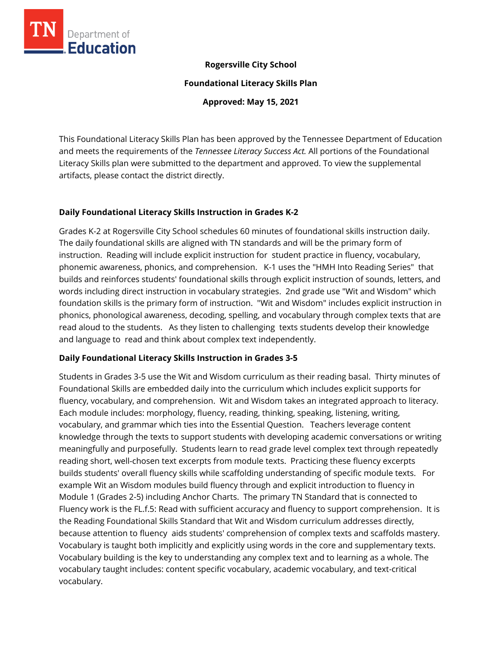

# **Rogersville City School**

**Foundational Literacy Skills Plan**

**Approved: May 15, 2021**

This Foundational Literacy Skills Plan has been approved by the Tennessee Department of Education and meets the requirements of the *Tennessee Literacy Success Act.* All portions of the Foundational Literacy Skills plan were submitted to the department and approved. To view the supplemental artifacts, please contact the district directly.

# **Daily Foundational Literacy Skills Instruction in Grades K-2**

Grades K-2 at Rogersville City School schedules 60 minutes of foundational skills instruction daily. The daily foundational skills are aligned with TN standards and will be the primary form of instruction. Reading will include explicit instruction for student practice in fluency, vocabulary, phonemic awareness, phonics, and comprehension. K-1 uses the "HMH Into Reading Series" that builds and reinforces students' foundational skills through explicit instruction of sounds, letters, and words including direct instruction in vocabulary strategies. 2nd grade use "Wit and Wisdom" which foundation skills is the primary form of instruction. "Wit and Wisdom" includes explicit instruction in phonics, phonological awareness, decoding, spelling, and vocabulary through complex texts that are read aloud to the students. As they listen to challenging texts students develop their knowledge and language to read and think about complex text independently.

# **Daily Foundational Literacy Skills Instruction in Grades 3-5**

Students in Grades 3-5 use the Wit and Wisdom curriculum as their reading basal. Thirty minutes of Foundational Skills are embedded daily into the curriculum which includes explicit supports for fluency, vocabulary, and comprehension. Wit and Wisdom takes an integrated approach to literacy. Each module includes: morphology, fluency, reading, thinking, speaking, listening, writing, vocabulary, and grammar which ties into the Essential Question. Teachers leverage content knowledge through the texts to support students with developing academic conversations or writing meaningfully and purposefully. Students learn to read grade level complex text through repeatedly reading short, well-chosen text excerpts from module texts. Practicing these fluency excerpts builds students' overall fluency skills while scaffolding understanding of specific module texts. For example Wit an Wisdom modules build fluency through and explicit introduction to fluency in Module 1 (Grades 2-5) including Anchor Charts. The primary TN Standard that is connected to Fluency work is the FL.f.5: Read with sufficient accuracy and fluency to support comprehension. It is the Reading Foundational Skills Standard that Wit and Wisdom curriculum addresses directly, because attention to fluency aids students' comprehension of complex texts and scaffolds mastery. Vocabulary is taught both implicitly and explicitly using words in the core and supplementary texts. Vocabulary building is the key to understanding any complex text and to learning as a whole. The vocabulary taught includes: content specific vocabulary, academic vocabulary, and text-critical vocabulary.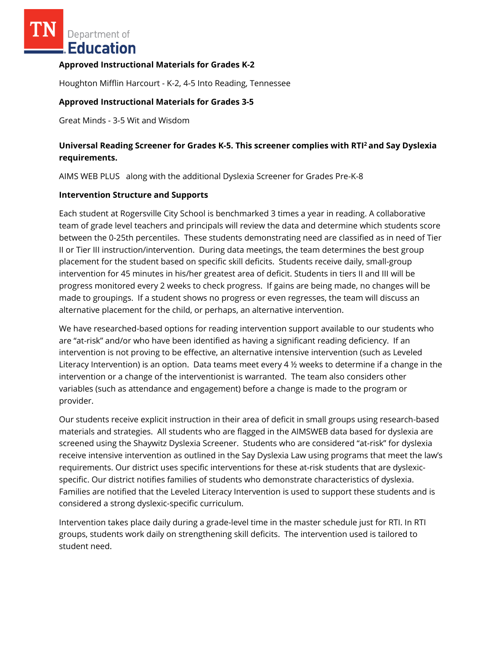Department of **Education** 

## **Approved Instructional Materials for Grades K-2**

Houghton Mifflin Harcourt - K-2, 4-5 Into Reading, Tennessee

## **Approved Instructional Materials for Grades 3-5**

Great Minds - 3-5 Wit and Wisdom

# **Universal Reading Screener for Grades K-5. This screener complies with RTI<sup>2</sup>and Say Dyslexia requirements.**

AIMS WEB PLUS along with the additional Dyslexia Screener for Grades Pre-K-8

#### **Intervention Structure and Supports**

Each student at Rogersville City School is benchmarked 3 times a year in reading. A collaborative team of grade level teachers and principals will review the data and determine which students score between the 0-25th percentiles. These students demonstrating need are classified as in need of Tier II or Tier III instruction/intervention. During data meetings, the team determines the best group placement for the student based on specific skill deficits. Students receive daily, small-group intervention for 45 minutes in his/her greatest area of deficit. Students in tiers II and III will be progress monitored every 2 weeks to check progress. If gains are being made, no changes will be made to groupings. If a student shows no progress or even regresses, the team will discuss an alternative placement for the child, or perhaps, an alternative intervention.

We have researched-based options for reading intervention support available to our students who are "at-risk" and/or who have been identified as having a significant reading deficiency. If an intervention is not proving to be effective, an alternative intensive intervention (such as Leveled Literacy Intervention) is an option. Data teams meet every 4 ½ weeks to determine if a change in the intervention or a change of the interventionist is warranted. The team also considers other variables (such as attendance and engagement) before a change is made to the program or provider.

Our students receive explicit instruction in their area of deficit in small groups using research-based materials and strategies. All students who are flagged in the AIMSWEB data based for dyslexia are screened using the Shaywitz Dyslexia Screener. Students who are considered "at-risk" for dyslexia receive intensive intervention as outlined in the Say Dyslexia Law using programs that meet the law's requirements. Our district uses specific interventions for these at-risk students that are dyslexicspecific. Our district notifies families of students who demonstrate characteristics of dyslexia. Families are notified that the Leveled Literacy Intervention is used to support these students and is considered a strong dyslexic-specific curriculum.

Intervention takes place daily during a grade-level time in the master schedule just for RTI. In RTI groups, students work daily on strengthening skill deficits. The intervention used is tailored to student need.